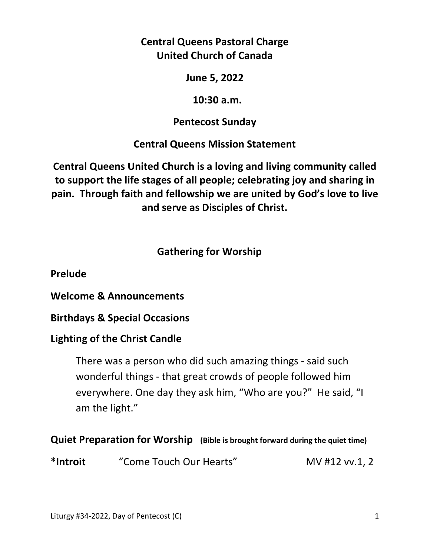**Central Queens Pastoral Charge United Church of Canada** 

**June 5, 2022** 

 **10:30 a.m.** 

**Pentecost Sunday** 

**Central Queens Mission Statement** 

**Central Queens United Church is a loving and living community called to support the life stages of all people; celebrating joy and sharing in pain. Through faith and fellowship we are united by God's love to live and serve as Disciples of Christ.**

# **Gathering for Worship**

**Prelude** 

**Welcome & Announcements** 

**Birthdays & Special Occasions** 

## **Lighting of the Christ Candle**

There was a person who did such amazing things - said such wonderful things - that great crowds of people followed him everywhere. One day they ask him, "Who are you?" He said, "I am the light."

**Quiet Preparation for Worship (Bible is brought forward during the quiet time)** 

**\*Introit** "Come Touch Our Hearts" MV #12 vv.1, 2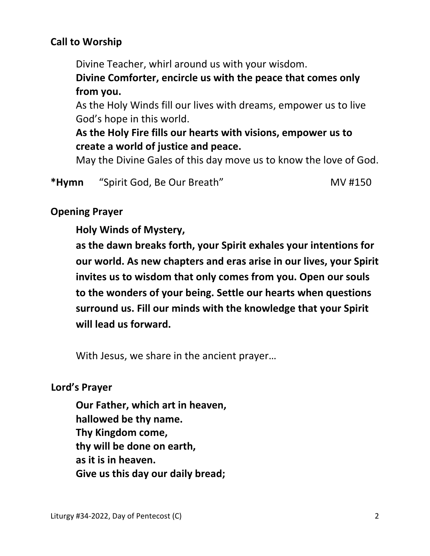## **Call to Worship**

Divine Teacher, whirl around us with your wisdom.

 **Divine Comforter, encircle us with the peace that comes only from you.** 

 As the Holy Winds fill our lives with dreams, empower us to live God's hope in this world.

 **As the Holy Fire fills our hearts with visions, empower us to create a world of justice and peace.** 

May the Divine Gales of this day move us to know the love of God.

\*Hymn "Spirit God, Be Our Breath" MV #150

#### **Opening Prayer**

#### **Holy Winds of Mystery,**

 **as the dawn breaks forth, your Spirit exhales your intentions for our world. As new chapters and eras arise in our lives, your Spirit invites us to wisdom that only comes from you. Open our souls to the wonders of your being. Settle our hearts when questions surround us. Fill our minds with the knowledge that your Spirit will lead us forward.** 

With Jesus, we share in the ancient prayer…

#### **Lord's Prayer**

**Our Father, which art in heaven, hallowed be thy name. Thy Kingdom come, thy will be done on earth, as it is in heaven. Give us this day our daily bread;**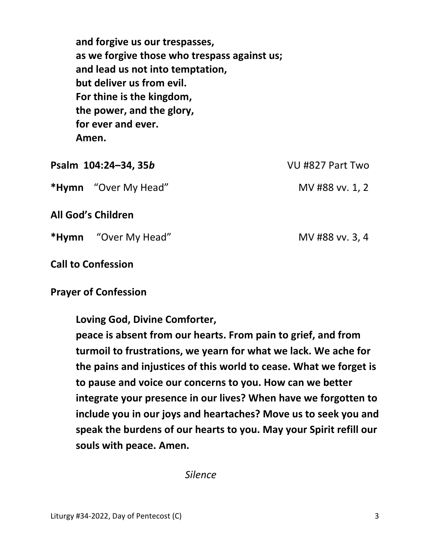**and forgive us our trespasses, as we forgive those who trespass against us; and lead us not into temptation, but deliver us from evil. For thine is the kingdom, the power, and the glory, for ever and ever. Amen.** 

| Psalm 104:24-34, 35b |                             | VU #827 Part Two |
|----------------------|-----------------------------|------------------|
|                      | <b>*Hymn</b> "Over My Head" | MV #88 vv. 1, 2  |
|                      | All God's Children          |                  |
|                      | <b>*Hymn</b> "Over My Head" | MV #88 vv. 3, 4  |

#### **Call to Confession**

#### **Prayer of Confession**

 **Loving God, Divine Comforter,** 

 **peace is absent from our hearts. From pain to grief, and from turmoil to frustrations, we yearn for what we lack. We ache for the pains and injustices of this world to cease. What we forget is to pause and voice our concerns to you. How can we better integrate your presence in our lives? When have we forgotten to include you in our joys and heartaches? Move us to seek you and speak the burdens of our hearts to you. May your Spirit refill our souls with peace. Amen.** 

 *Silence*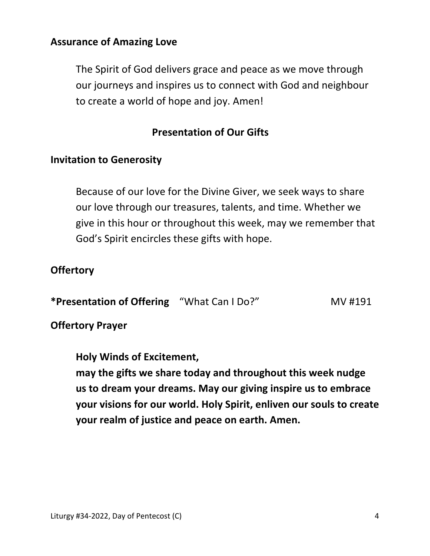### **Assurance of Amazing Love**

The Spirit of God delivers grace and peace as we move through our journeys and inspires us to connect with God and neighbour to create a world of hope and joy. Amen!

### **Presentation of Our Gifts**

#### **Invitation to Generosity**

 Because of our love for the Divine Giver, we seek ways to share our love through our treasures, talents, and time. Whether we give in this hour or throughout this week, may we remember that God's Spirit encircles these gifts with hope.

#### **Offertory**

| *Presentation of Offering "What Can I Do?" |  | MV #191 |
|--------------------------------------------|--|---------|
|--------------------------------------------|--|---------|

#### **Offertory Prayer**

**Holy Winds of Excitement, may the gifts we share today and throughout this week nudge us to dream your dreams. May our giving inspire us to embrace your visions for our world. Holy Spirit, enliven our souls to create your realm of justice and peace on earth. Amen.**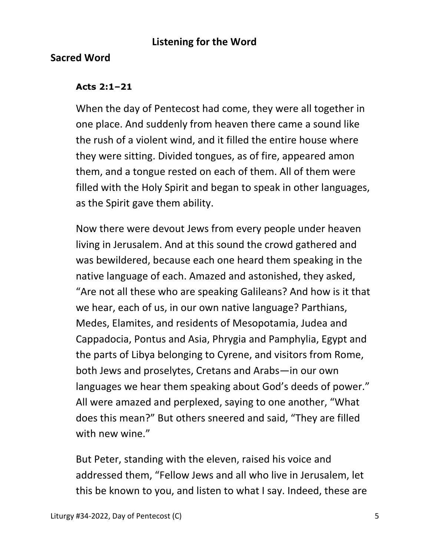### **Listening for the Word**

### **Sacred Word**

#### **Acts 2:1–21**

 When the day of Pentecost had come, they were all together in one place. And suddenly from heaven there came a sound like the rush of a violent wind, and it filled the entire house where they were sitting. Divided tongues, as of fire, appeared amon them, and a tongue rested on each of them. All of them were filled with the Holy Spirit and began to speak in other languages, as the Spirit gave them ability.

Now there were devout Jews from every people under heaven living in Jerusalem. And at this sound the crowd gathered and was bewildered, because each one heard them speaking in the native language of each. Amazed and astonished, they asked, "Are not all these who are speaking Galileans? And how is it that we hear, each of us, in our own native language? Parthians, Medes, Elamites, and residents of Mesopotamia, Judea and Cappadocia, Pontus and Asia, Phrygia and Pamphylia, Egypt and the parts of Libya belonging to Cyrene, and visitors from Rome, both Jews and proselytes, Cretans and Arabs—in our own languages we hear them speaking about God's deeds of power." All were amazed and perplexed, saying to one another, "What does this mean?" But others sneered and said, "They are filled with new wine."

But Peter, standing with the eleven, raised his voice and addressed them, "Fellow Jews and all who live in Jerusalem, let this be known to you, and listen to what I say. Indeed, these are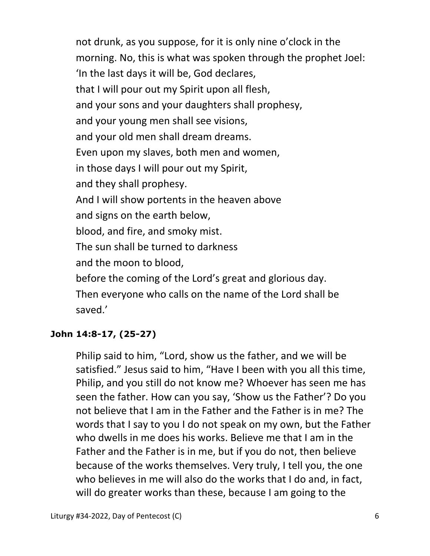not drunk, as you suppose, for it is only nine o'clock in the morning. No, this is what was spoken through the prophet Joel: 'In the last days it will be, God declares, that I will pour out my Spirit upon all flesh, and your sons and your daughters shall prophesy, and your young men shall see visions, and your old men shall dream dreams. Even upon my slaves, both men and women, in those days I will pour out my Spirit, and they shall prophesy. And I will show portents in the heaven above and signs on the earth below, blood, and fire, and smoky mist. The sun shall be turned to darkness and the moon to blood, before the coming of the Lord's great and glorious day. Then everyone who calls on the name of the Lord shall be saved.'

### **John 14:8-17, (25-27)**

Philip said to him, "Lord, show us the father, and we will be satisfied." Jesus said to him, "Have I been with you all this time, Philip, and you still do not know me? Whoever has seen me has seen the father. How can you say, 'Show us the Father'? Do you not believe that I am in the Father and the Father is in me? The words that I say to you I do not speak on my own, but the Father who dwells in me does his works. Believe me that I am in the Father and the Father is in me, but if you do not, then believe because of the works themselves. Very truly, I tell you, the one who believes in me will also do the works that I do and, in fact, will do greater works than these, because I am going to the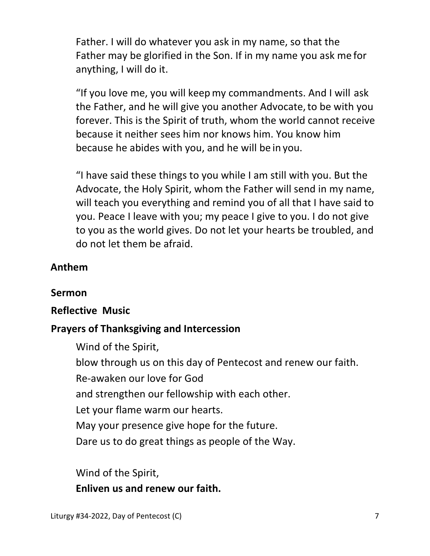Father. I will do whatever you ask in my name, so that the Father may be glorified in the Son. If in my name you ask me for anything, I will do it.

"If you love me, you will keepmy commandments. And I will ask the Father, and he will give you another Advocate, to be with you forever. This is the Spirit of truth, whom the world cannot receive because it neither sees him nor knows him. You know him because he abides with you, and he will be in you.

"I have said these things to you while I am still with you. But the Advocate, the Holy Spirit, whom the Father will send in my name, will teach you everything and remind you of all that I have said to you. Peace I leave with you; my peace I give to you. I do not give to you as the world gives. Do not let your hearts be troubled, and do not let them be afraid.

## **Anthem**

### **Sermon**

### **Reflective Music**

## **Prayers of Thanksgiving and Intercession**

Wind of the Spirit,

blow through us on this day of Pentecost and renew our faith.

Re-awaken our love for God

and strengthen our fellowship with each other.

Let your flame warm our hearts.

May your presence give hope for the future.

Dare us to do great things as people of the Way.

Wind of the Spirit,

 **Enliven us and renew our faith.**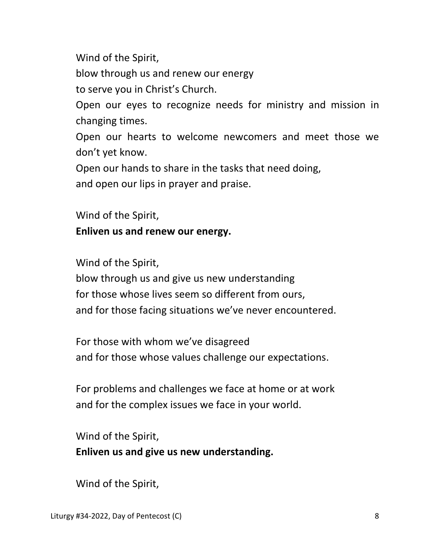Wind of the Spirit,

blow through us and renew our energy

to serve you in Christ's Church.

 Open our eyes to recognize needs for ministry and mission in changing times.

Open our hearts to welcome newcomers and meet those we don't yet know.

Open our hands to share in the tasks that need doing,

and open our lips in prayer and praise.

Wind of the Spirit,

## **Enliven us and renew our energy.**

Wind of the Spirit,

 blow through us and give us new understanding for those whose lives seem so different from ours, and for those facing situations we've never encountered.

 For those with whom we've disagreed and for those whose values challenge our expectations.

 For problems and challenges we face at home or at work and for the complex issues we face in your world.

 Wind of the Spirit,  **Enliven us and give us new understanding.** 

Wind of the Spirit,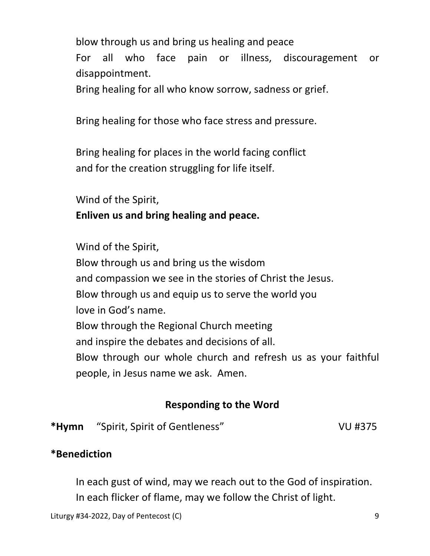blow through us and bring us healing and peace For all who face pain or illness, discouragement or disappointment.

Bring healing for all who know sorrow, sadness or grief.

Bring healing for those who face stress and pressure.

 Bring healing for places in the world facing conflict and for the creation struggling for life itself.

Wind of the Spirit,

## **Enliven us and bring healing and peace.**

Wind of the Spirit,

 Blow through us and bring us the wisdom and compassion we see in the stories of Christ the Jesus. Blow through us and equip us to serve the world you love in God's name. Blow through the Regional Church meeting and inspire the debates and decisions of all. Blow through our whole church and refresh us as your faithful people, in Jesus name we ask. Amen.

# **Responding to the Word**

**\*Hymn** "Spirit, Spirit of Gentleness" VU #375

## **\*Benediction**

 In each gust of wind, may we reach out to the God of inspiration. In each flicker of flame, may we follow the Christ of light.

Liturgy #34-2022, Day of Pentecost (C) 9